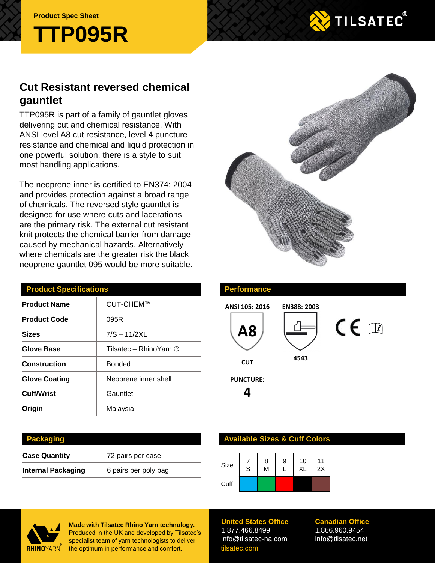**Product Spec Sheet**





# **Cut Resistant reversed chemical gauntlet**

TTP095R is part of a family of gauntlet gloves delivering cut and chemical resistance. With ANSI level A8 cut resistance, level 4 puncture resistance and chemical and liquid protection in one powerful solution, there is a style to suit most handling applications.

The neoprene inner is certified to EN374: 2004 and provides protection against a broad range of chemicals. The reversed style gauntlet is designed for use where cuts and lacerations are the primary risk. The external cut resistant knit protects the chemical barrier from damage caused by mechanical hazards. Alternatively where chemicals are the greater risk the black neoprene gauntlet 095 would be more suitable.

| <b>Product Specifications</b> |                        |  |  |  |
|-------------------------------|------------------------|--|--|--|
| <b>Product Name</b>           | CUT-CHEM™              |  |  |  |
| <b>Product Code</b>           | 095R                   |  |  |  |
| <b>Sizes</b>                  | $7/S - 11/2XL$         |  |  |  |
| Glove Base                    | Tilsatec - RhinoYarn ® |  |  |  |
| <b>Construction</b>           | Bonded                 |  |  |  |
| <b>Glove Coating</b>          | Neoprene inner shell   |  |  |  |
| <b>Cuff/Wrist</b>             | Gauntlet               |  |  |  |
| Origin                        | Malaysia               |  |  |  |

**Case Quantity** 72 pairs per case

**Internal Packaging** | 6 pairs per poly bag

### **Performance**



#### **Available Sizes & Cuff Colors**

| Size | $\mathsf{S}$ | 8<br>M | 9 | 10<br><b>XL</b> | 11<br>2X |
|------|--------------|--------|---|-----------------|----------|
| Cuff |              |        |   |                 |          |



**Packaging**

**Made with Tilsatec Rhino Yarn technology.**  Produced in the UK and developed by Tilsatec's specialist team of yarn technologists to deliver the optimum in performance and comfort.

**United States Office** 1.877.466.8499 info@tilsatec-na.com tilsatec.com

**Canadian Office** 1.866.960.9454 info@tilsatec.net